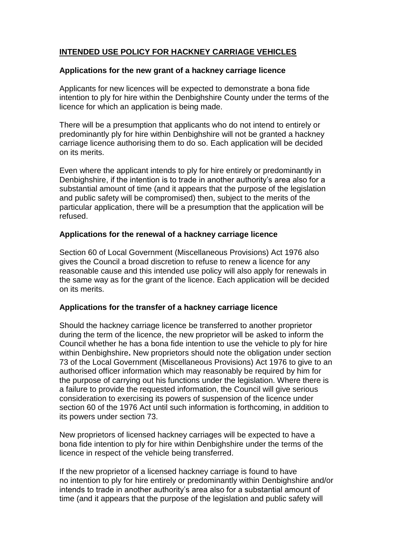# **INTENDED USE POLICY FOR HACKNEY CARRIAGE VEHICLES**

#### **Applications for the new grant of a hackney carriage licence**

Applicants for new licences will be expected to demonstrate a bona fide intention to ply for hire within the Denbighshire County under the terms of the licence for which an application is being made.

There will be a presumption that applicants who do not intend to entirely or predominantly ply for hire within Denbighshire will not be granted a hackney carriage licence authorising them to do so. Each application will be decided on its merits.

Even where the applicant intends to ply for hire entirely or predominantly in Denbighshire, if the intention is to trade in another authority's area also for a substantial amount of time (and it appears that the purpose of the legislation and public safety will be compromised) then, subject to the merits of the particular application, there will be a presumption that the application will be refused.

## **Applications for the renewal of a hackney carriage licence**

Section 60 of Local Government (Miscellaneous Provisions) Act 1976 also gives the Council a broad discretion to refuse to renew a licence for any reasonable cause and this intended use policy will also apply for renewals in the same way as for the grant of the licence. Each application will be decided on its merits.

## **Applications for the transfer of a hackney carriage licence**

Should the hackney carriage licence be transferred to another proprietor during the term of the licence, the new proprietor will be asked to inform the Council whether he has a bona fide intention to use the vehicle to ply for hire within Denbighshire**.** New proprietors should note the obligation under section 73 of the Local Government (Miscellaneous Provisions) Act 1976 to give to an authorised officer information which may reasonably be required by him for the purpose of carrying out his functions under the legislation. Where there is a failure to provide the requested information, the Council will give serious consideration to exercising its powers of suspension of the licence under section 60 of the 1976 Act until such information is forthcoming, in addition to its powers under section 73.

New proprietors of licensed hackney carriages will be expected to have a bona fide intention to ply for hire within Denbighshire under the terms of the licence in respect of the vehicle being transferred.

If the new proprietor of a licensed hackney carriage is found to have no intention to ply for hire entirely or predominantly within Denbighshire and/or intends to trade in another authority's area also for a substantial amount of time (and it appears that the purpose of the legislation and public safety will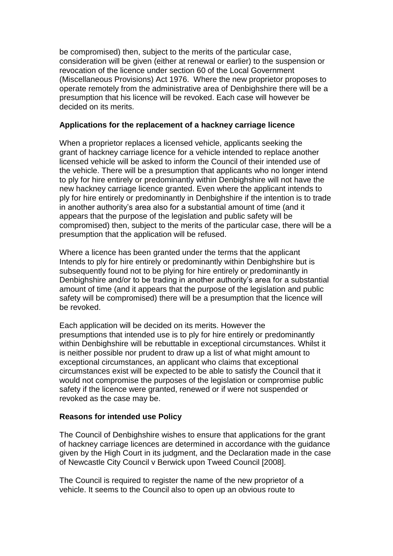be compromised) then, subject to the merits of the particular case, consideration will be given (either at renewal or earlier) to the suspension or revocation of the licence under section 60 of the Local Government (Miscellaneous Provisions) Act 1976. Where the new proprietor proposes to operate remotely from the administrative area of Denbighshire there will be a presumption that his licence will be revoked. Each case will however be decided on its merits.

#### **Applications for the replacement of a hackney carriage licence**

When a proprietor replaces a licensed vehicle, applicants seeking the grant of hackney carriage licence for a vehicle intended to replace another licensed vehicle will be asked to inform the Council of their intended use of the vehicle. There will be a presumption that applicants who no longer intend to ply for hire entirely or predominantly within Denbighshire will not have the new hackney carriage licence granted. Even where the applicant intends to ply for hire entirely or predominantly in Denbighshire if the intention is to trade in another authority's area also for a substantial amount of time (and it appears that the purpose of the legislation and public safety will be compromised) then, subject to the merits of the particular case, there will be a presumption that the application will be refused.

Where a licence has been granted under the terms that the applicant Intends to ply for hire entirely or predominantly within Denbighshire but is subsequently found not to be plying for hire entirely or predominantly in Denbighshire and/or to be trading in another authority's area for a substantial amount of time (and it appears that the purpose of the legislation and public safety will be compromised) there will be a presumption that the licence will be revoked.

Each application will be decided on its merits. However the presumptions that intended use is to ply for hire entirely or predominantly within Denbighshire will be rebuttable in exceptional circumstances. Whilst it is neither possible nor prudent to draw up a list of what might amount to exceptional circumstances, an applicant who claims that exceptional circumstances exist will be expected to be able to satisfy the Council that it would not compromise the purposes of the legislation or compromise public safety if the licence were granted, renewed or if were not suspended or revoked as the case may be.

## **Reasons for intended use Policy**

The Council of Denbighshire wishes to ensure that applications for the grant of hackney carriage licences are determined in accordance with the guidance given by the High Court in its judgment, and the Declaration made in the case of Newcastle City Council v Berwick upon Tweed Council [2008].

The Council is required to register the name of the new proprietor of a vehicle. It seems to the Council also to open up an obvious route to